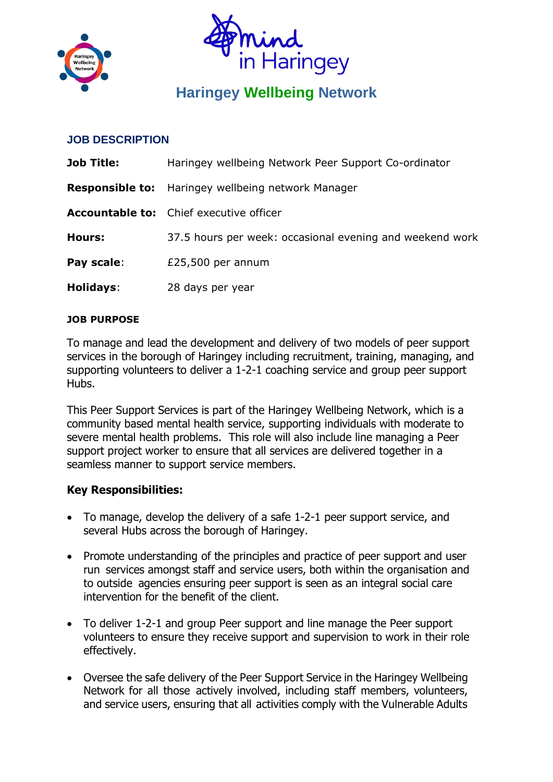



# **Haringey Wellbeing Network**

### **JOB DESCRIPTION**

| <b>Job Title:</b> | Haringey wellbeing Network Peer Support Co-ordinator      |
|-------------------|-----------------------------------------------------------|
|                   | <b>Responsible to:</b> Haringey wellbeing network Manager |
|                   | <b>Accountable to:</b> Chief executive officer            |
| Hours:            | 37.5 hours per week: occasional evening and weekend work  |
| Pay scale:        | £25,500 per annum                                         |
| <b>Holidays:</b>  | 28 days per year                                          |

#### **JOB PURPOSE**

To manage and lead the development and delivery of two models of peer support services in the borough of Haringey including recruitment, training, managing, and supporting volunteers to deliver a 1-2-1 coaching service and group peer support Hubs.

This Peer Support Services is part of the Haringey Wellbeing Network, which is a community based mental health service, supporting individuals with moderate to severe mental health problems. This role will also include line managing a Peer support project worker to ensure that all services are delivered together in a seamless manner to support service members.

#### **Key Responsibilities:**

- To manage, develop the delivery of a safe 1-2-1 peer support service, and several Hubs across the borough of Haringey.
- Promote understanding of the principles and practice of peer support and user run services amongst staff and service users, both within the organisation and to outside agencies ensuring peer support is seen as an integral social care intervention for the benefit of the client.
- To deliver 1-2-1 and group Peer support and line manage the Peer support volunteers to ensure they receive support and supervision to work in their role effectively.
- Oversee the safe delivery of the Peer Support Service in the Haringey Wellbeing Network for all those actively involved, including staff members, volunteers, and service users, ensuring that all activities comply with the Vulnerable Adults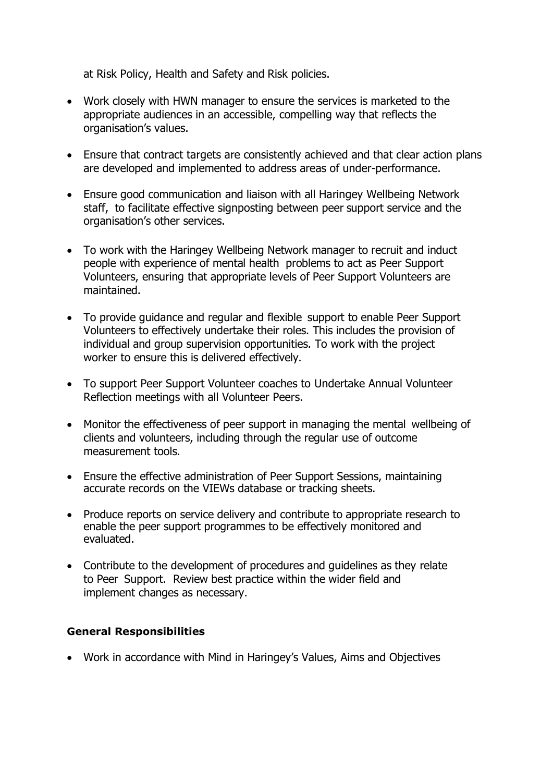at Risk Policy, Health and Safety and Risk policies.

- Work closely with HWN manager to ensure the services is marketed to the appropriate audiences in an accessible, compelling way that reflects the organisation's values.
- Ensure that contract targets are consistently achieved and that clear action plans are developed and implemented to address areas of under-performance.
- Ensure good communication and liaison with all Haringey Wellbeing Network staff, to facilitate effective signposting between peer support service and the organisation's other services.
- To work with the Haringey Wellbeing Network manager to recruit and induct people with experience of mental health problems to act as Peer Support Volunteers, ensuring that appropriate levels of Peer Support Volunteers are maintained.
- To provide guidance and regular and flexible support to enable Peer Support Volunteers to effectively undertake their roles. This includes the provision of individual and group supervision opportunities. To work with the project worker to ensure this is delivered effectively.
- To support Peer Support Volunteer coaches to Undertake Annual Volunteer Reflection meetings with all Volunteer Peers.
- Monitor the effectiveness of peer support in managing the mental wellbeing of clients and volunteers, including through the regular use of outcome measurement tools.
- Ensure the effective administration of Peer Support Sessions, maintaining accurate records on the VIEWs database or tracking sheets.
- Produce reports on service delivery and contribute to appropriate research to enable the peer support programmes to be effectively monitored and evaluated.
- Contribute to the development of procedures and guidelines as they relate to Peer Support. Review best practice within the wider field and implement changes as necessary.

#### **General Responsibilities**

• Work in accordance with Mind in Haringey's Values, Aims and Objectives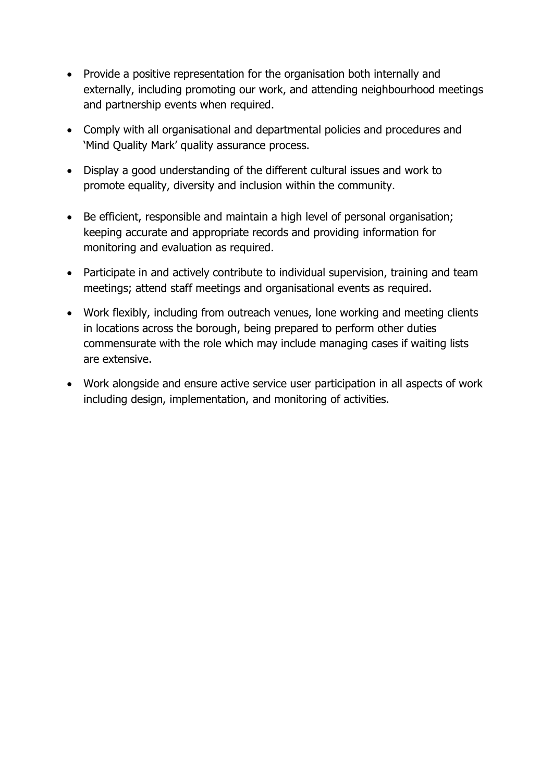- Provide a positive representation for the organisation both internally and externally, including promoting our work, and attending neighbourhood meetings and partnership events when required.
- Comply with all organisational and departmental policies and procedures and 'Mind Quality Mark' quality assurance process.
- Display a good understanding of the different cultural issues and work to promote equality, diversity and inclusion within the community.
- Be efficient, responsible and maintain a high level of personal organisation; keeping accurate and appropriate records and providing information for monitoring and evaluation as required.
- Participate in and actively contribute to individual supervision, training and team meetings; attend staff meetings and organisational events as required.
- Work flexibly, including from outreach venues, lone working and meeting clients in locations across the borough, being prepared to perform other duties commensurate with the role which may include managing cases if waiting lists are extensive.
- Work alongside and ensure active service user participation in all aspects of work including design, implementation, and monitoring of activities.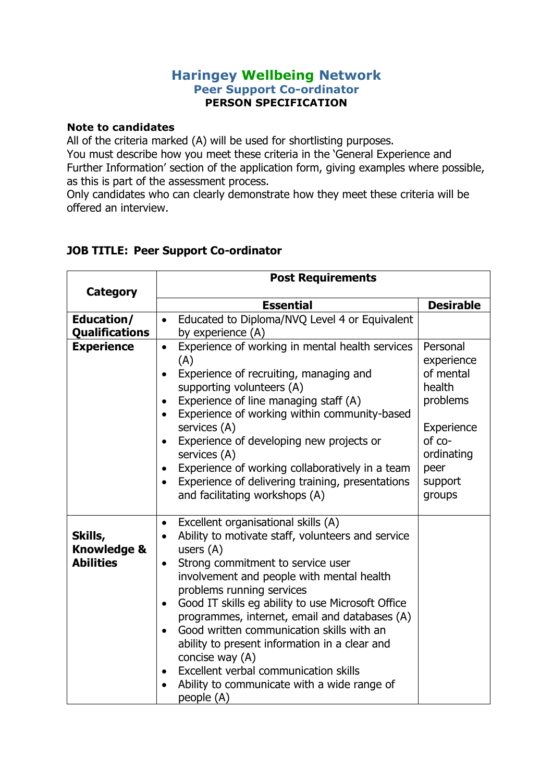## **Haringey Wellbeing Network Peer Support Co-ordinator PERSON SPECIFICATION**

#### **Note to candidates**

All of the criteria marked (A) will be used for shortlisting purposes. You must describe how you meet these criteria in the 'General Experience and Further Information' section of the application form, giving examples where possible, as this is part of the assessment process.

Only candidates who can clearly demonstrate how they meet these criteria will be offered an interview.

|                                                       | <b>Post Requirements</b>                                                                                                                                                                                                                                                                                                                                                                                                                                                                                                                                                                   |                                                                                                                              |  |
|-------------------------------------------------------|--------------------------------------------------------------------------------------------------------------------------------------------------------------------------------------------------------------------------------------------------------------------------------------------------------------------------------------------------------------------------------------------------------------------------------------------------------------------------------------------------------------------------------------------------------------------------------------------|------------------------------------------------------------------------------------------------------------------------------|--|
| Category                                              | <b>Essential</b>                                                                                                                                                                                                                                                                                                                                                                                                                                                                                                                                                                           | <b>Desirable</b>                                                                                                             |  |
| Education/<br><b>Qualifications</b>                   | Educated to Diploma/NVQ Level 4 or Equivalent<br>$\bullet$<br>by experience (A)                                                                                                                                                                                                                                                                                                                                                                                                                                                                                                            |                                                                                                                              |  |
| <b>Experience</b>                                     | Experience of working in mental health services<br>$\bullet$<br>(A)<br>Experience of recruiting, managing and<br>supporting volunteers (A)<br>Experience of line managing staff (A)<br>$\bullet$<br>Experience of working within community-based<br>services (A)<br>Experience of developing new projects or<br>$\bullet$<br>services (A)<br>Experience of working collaboratively in a team<br>Experience of delivering training, presentations<br>$\bullet$<br>and facilitating workshops (A)                                                                                            | Personal<br>experience<br>of mental<br>health<br>problems<br>Experience<br>of co-<br>ordinating<br>peer<br>support<br>groups |  |
| Skills,<br><b>Knowledge &amp;</b><br><b>Abilities</b> | Excellent organisational skills (A)<br>$\bullet$<br>Ability to motivate staff, volunteers and service<br>users $(A)$<br>Strong commitment to service user<br>$\bullet$<br>involvement and people with mental health<br>problems running services<br>Good IT skills eg ability to use Microsoft Office<br>$\bullet$<br>programmes, internet, email and databases (A)<br>Good written communication skills with an<br>ability to present information in a clear and<br>concise way (A)<br>Excellent verbal communication skills<br>Ability to communicate with a wide range of<br>people (A) |                                                                                                                              |  |

## **JOB TITLE: Peer Support Co-ordinator**